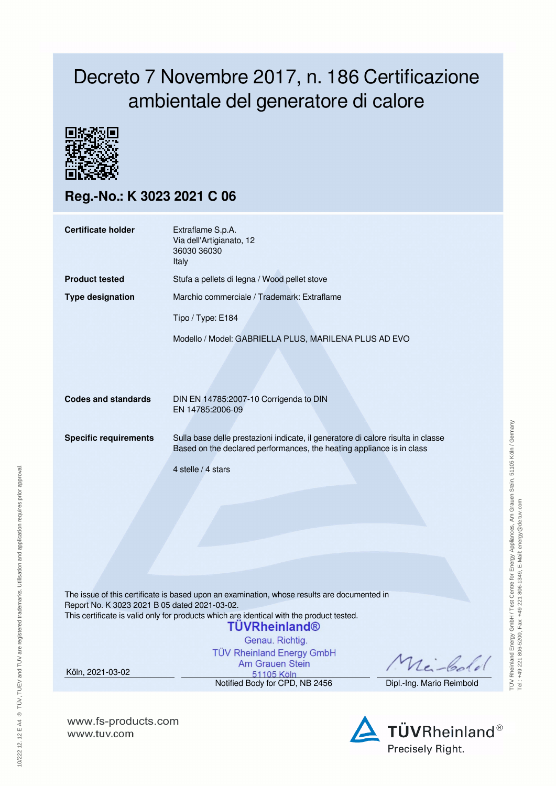## Decreto 7 Novembre 2017, n. 186 Certificazione ambientale del generatore di calore



**Reg.-No.: K 3023 2021 C 06**

| <b>Certificate holder</b>                                         | Extraflame S.p.A.<br>Via dell'Artigianato, 12<br>36030 36030<br>Italy                                                                                                                                                                                                                                                                     |                                       |  |  |  |  |
|-------------------------------------------------------------------|-------------------------------------------------------------------------------------------------------------------------------------------------------------------------------------------------------------------------------------------------------------------------------------------------------------------------------------------|---------------------------------------|--|--|--|--|
| <b>Product tested</b>                                             | Stufa a pellets di legna / Wood pellet stove                                                                                                                                                                                                                                                                                              |                                       |  |  |  |  |
| <b>Type designation</b>                                           | Marchio commerciale / Trademark: Extraflame                                                                                                                                                                                                                                                                                               |                                       |  |  |  |  |
|                                                                   | Tipo / Type: E184                                                                                                                                                                                                                                                                                                                         |                                       |  |  |  |  |
|                                                                   | Modello / Model: GABRIELLA PLUS, MARILENA PLUS AD EVO                                                                                                                                                                                                                                                                                     |                                       |  |  |  |  |
| <b>Codes and standards</b>                                        | DIN EN 14785:2007-10 Corrigenda to DIN<br>EN 14785:2006-09                                                                                                                                                                                                                                                                                |                                       |  |  |  |  |
| <b>Specific requirements</b>                                      | Sulla base delle prestazioni indicate, il generatore di calore risulta in classe<br>Based on the declared performances, the heating appliance is in class                                                                                                                                                                                 |                                       |  |  |  |  |
|                                                                   | 4 stelle / 4 stars                                                                                                                                                                                                                                                                                                                        |                                       |  |  |  |  |
| Report No. K 3023 2021 B 05 dated 2021-03-02.<br>Köln, 2021-03-02 | The issue of this certificate is based upon an examination, whose results are documented in<br>This certificate is valid only for products which are identical with the product tested.<br>TÜVRheinland®<br>Genau. Richtig.<br><b>TÜV Rheinland Energy GmbH</b><br><b>Am Grauen Stein</b><br>51105 Köln<br>Notified Body for CPD, NB 2456 | nei-Colo<br>Dipl.-Ing. Mario Reimbold |  |  |  |  |
|                                                                   |                                                                                                                                                                                                                                                                                                                                           |                                       |  |  |  |  |

**www.fs-products.com** www.tuv.com

10/222 12. 12 E A4 ® TÜV, TUEV and TUV are registered trademarks. Utilisation and application requires prior approval.

10/222 12. 12 E A4 ® TŪV, TUEV and TUV are registered trademarks. Utilisation and application requires prior approval.



**TÜVRheinland®** Precisely Right.